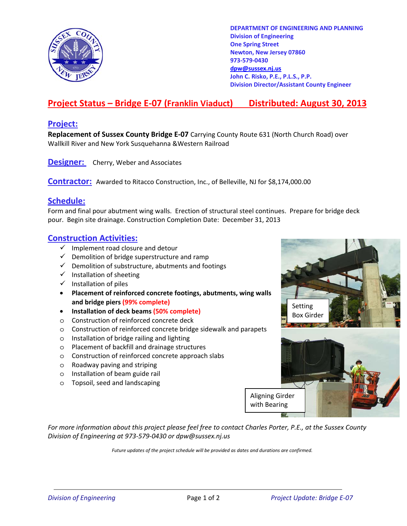

**DEPARTMENT OF ENGINEERING AND PLANNING Division of Engineering One Spring Street Newton, New Jersey 07860 973-579-0430 dpw@sussex.nj.us John C. Risko, P.E., P.L.S., P.P. Division Director/Assistant County Engineer** 

# **Project Status – Bridge E-07 (Franklin Viaduct) Distributed: August 30, 2013**

### **Project:**

**Replacement of Sussex County Bridge E-07** Carrying County Route 631 (North Church Road) over Wallkill River and New York Susquehanna &Western Railroad

**Designer:** Cherry, Weber and Associates

**Contractor:** Awarded to Ritacco Construction, Inc., of Belleville, NJ for \$8,174,000.00

### **Schedule:**

Form and final pour abutment wing walls. Erection of structural steel continues. Prepare for bridge deck pour. Begin site drainage. Construction Completion Date: December 31, 2013

#### **Construction Activities:**

- $\checkmark$  Implement road closure and detour
- $\checkmark$  Demolition of bridge superstructure and ramp
- $\checkmark$  Demolition of substructure, abutments and footings
- $\checkmark$  Installation of sheeting
- $\checkmark$  Installation of piles
- **Placement of reinforced concrete footings, abutments, wing walls and bridge piers (99% complete)**
- **Installation of deck beams (50% complete)**
- o Construction of reinforced concrete deck
- o Construction of reinforced concrete bridge sidewalk and parapets
- o Installation of bridge railing and lighting
- o Placement of backfill and drainage structures
- o Construction of reinforced concrete approach slabs
- o Roadway paving and striping
- o Installation of beam guide rail
- o Topsoil, seed and landscaping



*For more information about this project please feel free to contact Charles Porter, P.E., at the Sussex County Division of Engineering at 973-579-0430 or dpw@sussex.nj.us* 

*Future updates of the project schedule will be provided as dates and durations are confirmed.*